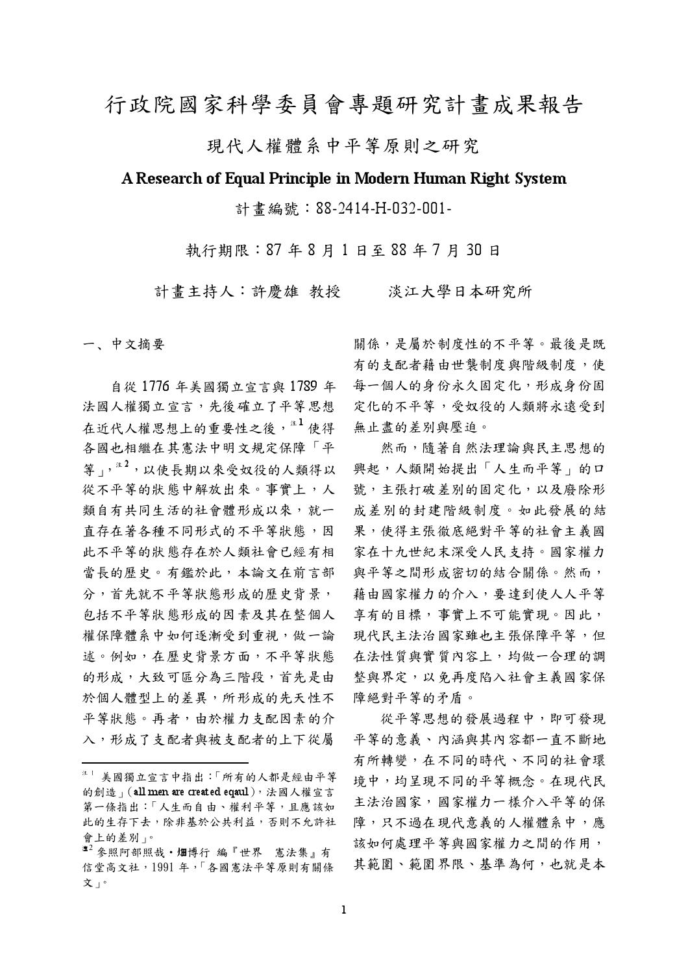# 行政院國家科學委員會專題研究計畫成果報告

現代人權體系中平等原則之研究

# A Research of Equal Principle in Modern Human Right System

計書編號: 88-2414-H-032-001-

執行期限: 87年8月1日至88年7月30日

計書主持人:許慶雄 教授 淡江大學日本研究所

一、中文摘要

自從 1776 年美國獨立宣言與 1789 年 法國人權獨立宣言,先後確立了平等思想 在近代人權思想上的重要性之後, <sup>注1</sup> 使得 各國也相繼在其憲法中明文規定保障「平 等,<sup>, \*2</sup>, 以使長期以來受奴役的人類得以 從不平等的狀態中解放出來。事實上,人 類自有共同生活的社會體形成以來,就一 直存在著各種不同形式的不平等狀態,因 此不平等的狀態存在於人類社會已經有相 當長的歷史。有鑑於此,本論文在前言部 分,首先就不平等狀態形成的歷史背景, 包括不平等狀態形成的因素及其在整個人 權保障體系中如何逐漸受到重視, 做一論 述。例如,在歷史背景方面,不平等狀態 的形成,大致可區分為三階段,首先是由 於個人體型上的差異,所形成的先天性不 平等狀態。再者,由於權力支配因素的介 入,形成了支配者與被支配者的上下從屬

關係,是屬於制度性的不平等。最後是既 有的支配者藉由世襲制度與階級制度,使 每一個人的身份永久固定化,形成身份固 定化的不平等,受奴役的人類將永遠受到 無止盡的差別與壓迫。

然而,隨著自然法理論與民主思想的 興起,人類開始提出「人生而平等」的口 號,主張打破差別的固定化,以及廢除形 成差別的封建階級制度。如此發展的結 果,使得主張徹底絕對平等的社會主義國 家在十九世紀末深受人民支持。國家權力 與平等之間形成密切的結合關係。然而, 藉由國家權力的介入,要達到使人人平等 享有的目標,事實上不可能實現。因此, 現代民主法治國家雖也主張保障平等,但 在法性質與實質內容上,均做一合理的調 整與界定,以免再度陷入社會主義國家保 障絕對平等的矛盾。

從平等思想的發展過程中,即可發現 平等的意義、內涵與其內容都一直不斷地 有所轉變,在不同的時代、不同的社會環 境中,均呈現不同的平等概念。在現代民 主法治國家,國家權力一樣介入平等的保 障,只不過在現代意義的人權體系中,應 該如何處理平等與國家權力之間的作用, 其範圍、範圍界限、基準為何,也就是本

<sup>&</sup>lt;sup>注1</sup> 美國獨立宣言中指出:「所有的人都是經由平等 的創造」(all men are created eqaul), 法國人權官言 第一條指出:「人生而自由、權利平等,且應該如 此的生存下去,除非基於公共利益,否則不允許社 會上的差別」。

<sup>&</sup>lt;sup>注2</sup>参照阿部照哉 • 畑博行 編『世界 憲法集』有 信堂高文社,1991年,「各國憲法平等原則有關條 文」。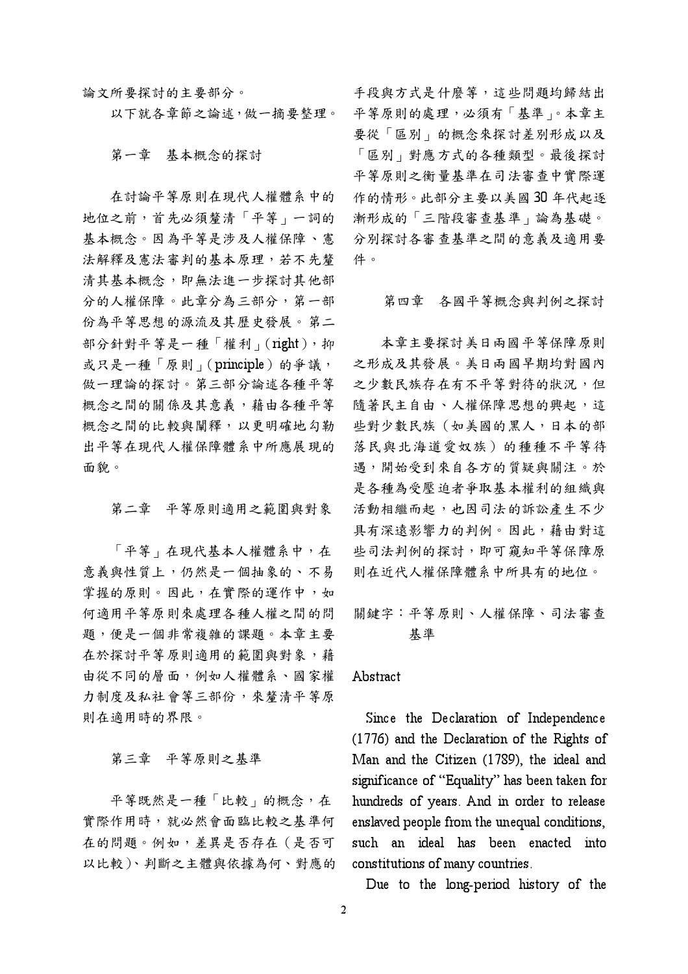論文所要探討的主要部分。

以下就各章節之論述,做一摘要整理。

第一章 基本概念的探討

在討論平等原則在現代人權體系中的 地位之前,首先必須釐清「平等」一詞的 基本概念。因為平等是涉及人權保障、憲 法解釋及憲法審判的基本原理,若不先釐 清其基本概念,即無法進一步探討其他部 分的人權保障。此章分為三部分,第一部 份為平等思想的源流及其歷史發展。第二 部分針對平等是一種「權利」(right),抑 或只是一種「原則」(principle)的爭議, 做一理論的探討。第三部分論述各種平等 概念之間的關係及其意義,藉由各種平等 概念之間的比較與闡釋,以更明確地勾勒 出平等在現代人權保障體系中所應展現的 面貌。

第二章 平等原則適用之範圍與對象

「平等」在現代基本人權體系中,在 意義與性質上,仍然是一個抽象的、不易 掌握的原則。因此,在實際的運作中,如 何適用平等原則來處理各種人權之間的問 題,便是一個非常複雜的課題。本章主要 在於探討平等原則適用的範圍與對象,藉 由從不同的層面,例如人權體系、國家權 力制度及私社會等三部份,來釐清平等原 則在適用時的界限。

第三章 平等原則之基準

平等既然是一種「比較」的概念,在 實際作用時,就必然會面臨比較之基準何 在的問題。例如,差異是否存在 (是否可 以比較)、判斷之主體與依據為何、對應的

手段與方式是什麼等,這些問題均歸結出 平等原則的處理,必須有「基準」。本章主 要從「區別」的概念來探討差別形成以及 「區別」對應方式的各種類型。最後探討 平等原則之衡量基準在司法審查中實際運 作的情形。此部分主要以美國30年代起逐 漸形成的「三階段審查基準」論為基礎。 分別探討各審查基準之間的意義及適用要 件。

第四章 各國平等概念與判例之探討

本章主要探討美日兩國平等保障原則 之形成及其發展。美日兩國早期均對國內 之少數民族存在有不平等對待的狀況,但 隨著民主自由、人權保障思想的興起,這 些對少數民族 (如美國的黑人,日本的部 落民與北海道愛奴族)的種種不平等待 遇,開始受到來自各方的質疑與關注。於 是各種為受壓迫者爭取基本權利的組織與 活動相繼而起,也因司法的訴訟產生不少 具有深遠影響力的判例。因此,藉由對這 些司法判例的探討,即可窺知平等保障原 則在近代人權保障體系中所具有的地位。

關鍵字:平等原則、人權保障、司法審查 基準

## Abstract

Since the Declaration of Independence (1776) and the Declaration of the Rights of Man and the Citizen (1789), the ideal and significance of "Equality" has been taken for hundreds of years. And in order to release enslaved people from the unequal conditions, such an ideal has been enacted into constitutions of many countries.

Due to the long-period history of the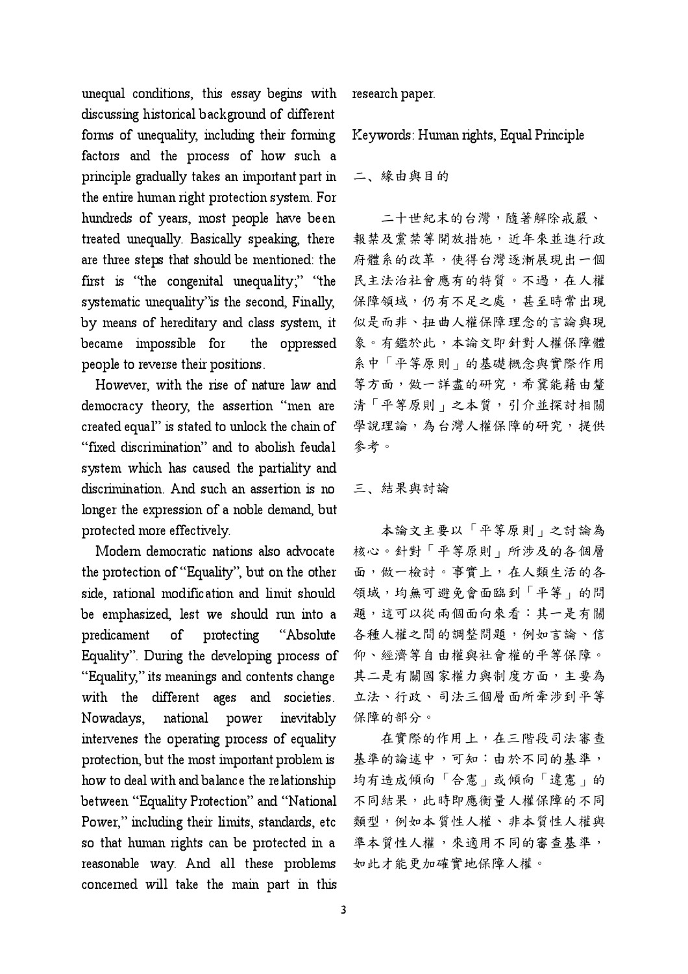unequal conditions, this essay begins with discussing historical background of different forms of unequality, including their forming factors and the process of how such a principle gradually takes an important part in the entire human right protection system. For hundreds of years, most people have been treated unequally. Basically speaking, there are three steps that should be mentioned: the first is "the congenital unequality;" "the systematic unequality" is the second, Finally, by means of hereditary and class system, it became impossible for the oppressed people to reverse their positions.

However, with the rise of nature law and democracy theory, the assertion "men are created equal" is stated to unlock the chain of "fixed discrimination" and to abolish feudal system which has caused the partiality and discrimination. And such an assertion is no longer the expression of a noble demand, but protected more effectively.

Modern democratic nations also advocate the protection of "Equality", but on the other side, rational modification and limit should be emphasized, lest we should run into a predicament of protecting "Absolute Equality". During the developing process of "Equality," its meanings and contents change with the different ages and societies. national power Nowadays, inevitably intervenes the operating process of equality protection, but the most important problem is how to deal with and balance the relationship between "Equality Protection" and "National Power," including their limits, standards, etc. so that human rights can be protected in a reasonable way. And all these problems concerned will take the main part in this research paper.

Keywords: Human rights, Equal Principle

#### 二、緣由與目的

二十世紀末的台灣,隨著解除戒嚴、 報禁及黨禁等開放措施,近年來並進行政 府體系的改革,使得台灣逐漸展現出一個 民主法治社會應有的特質。不過,在人權 保障領域,仍有不足之處,甚至時常出現 似是而非、扭曲人權保障理念的言論與現 象。有鑑於此,本論文即針對人權保障體 系中「平等原則」的基礎概念與實際作用 等方面,做一詳盡的研究,希冀能藉由釐 清「平等原則」之本質,引介並探討相關 學說理論,為台灣人權保障的研究,提供 參考。

### 三、結果與討論

本論文主要以「平等原則」之討論為 核心。針對「平等原則」所涉及的各個層 面,做一檢討。事實上,在人類生活的各 領域,均無可避免會面臨到「平等」的問 題,這可以從兩個面向來看:其一是有關 各種人權之間的調整問題,例如言論、信 仰、經濟等自由權與社會權的平等保障。 其二是有關國家權力與制度方面,主要為 立法、行政、司法三個層面所牽涉到平等 保障的部分。

在實際的作用上,在三階段司法審查 基準的論述中,可知:由於不同的基準, 均有造成傾向「合憲」或傾向「違憲」的 不同結果,此時即應衡量人權保障的不同 類型,例如本質性人權、非本質性人權與 準本質性人權,來適用不同的審查基準, 如此才能更加確實地保障人權。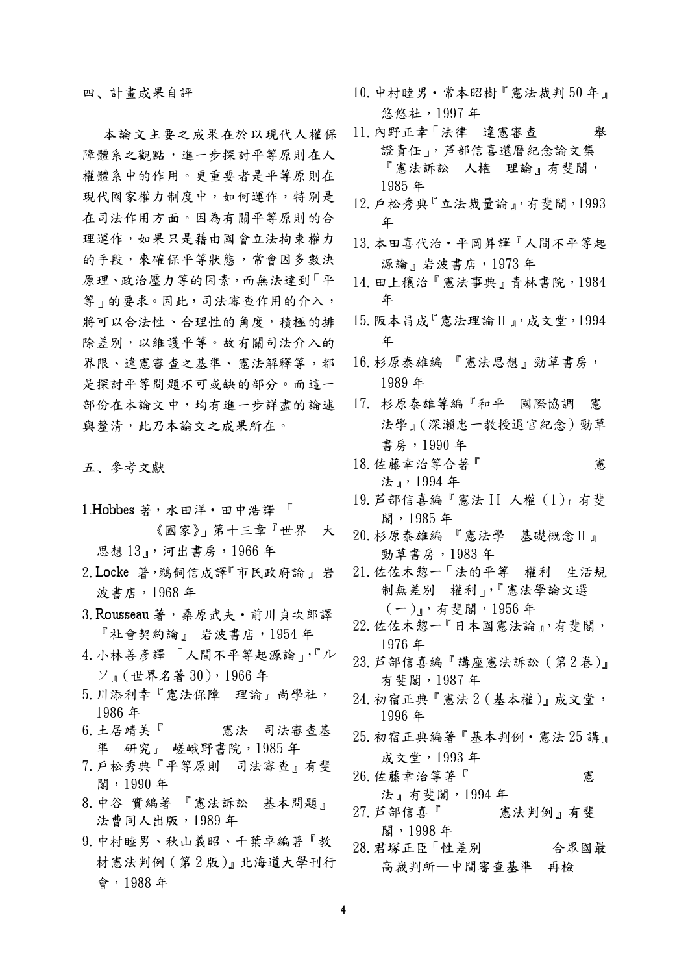四、計畫成果自評

本論文主要之成果在於以現代人權保 障體系之觀點,進一步探討平等原則在人 權體系中的作用。更重要者是平等原則在 現代國家權力制度中,如何運作,特別是 在司法作用方面。因為有關平等原則的合 理運作,如果只是藉由國會立法拘束權力 的手段,來確保平等狀態,常會因多數決 原理、政治壓力等的因素,而無法達到「平 等<sub>1</sub>的要求。因此,司法審查作用的介入, 將可以合法性、合理性的角度,積極的排 除差別,以維護平等。故有關司法介入的 界限、違憲審查之基準、憲法解釋等,都 是探討平等問題不可或缺的部分。而這一 部份在本論文中,均有進一步詳盡的論述 與釐清,此乃本論文之成果所在。

- 五、參考文獻
- 1.Hobbes 著,水田洋·田中浩譯「 《國家》,第十三章『世界 大 思想13」,河出書房,1966年
- 2. Locke 著, 鵜飼信成譯『市民政府論』岩 波書店, 1968年
- 3. Rousseau 著, 桑原武夫 · 前川貞次郎譯 『社會契約論』 岩波書店, 1954年
- 4. 小林善彥譯「人間不平等起源論」,『ル ソ』(世界名著30),1966年
- 5. 川添利幸『憲法保障 理論』尚學社, 1986年
- 6. 土居靖美『 憲法 司法審查基 準 研究』 嵯峨野書院, 1985年
- 7. 户松秀典『平等原則 司法審查』有斐 閣,1990年
- 8. 中谷 實編著 『憲法訴訟 基本問題』 法曹同人出版,1989年
- 9. 中村睦男、秋山義昭、千葉卓編著『教 材憲法判例 (第2版)』北海道大學刊行 會,1988年
- 10. 中村睦男·常本昭樹『憲法裁判50年』 悠悠社,1997年
- 11. 内野正幸「法律 違憲審查 舉 證責任」,芦部信喜還曆紀念論文集 『憲法訴訟 人権 理論』有斐閣, 1985年
- 12. 户松秀典『立法裁量論』, 有斐閣, 1993 年
- 13. 本田喜代治·平岡昇譯『人間不平等起 源論』岩波書店, 1973年
- 14. 田上穰治『憲法事典』青林書院, 1984 年
- 15. 阪本昌成『憲法理論Ⅱ』, 成文堂, 1994 年
- 16. 杉原泰雄編 『憲法思想』勁草書房, 1989年
- 17. 杉原泰雄等編『和平 國際協調 憲 法學』(深瀨忠一教授退官紀念)勁草 書房,1990年
- 18. 佐藤幸治等合著『 憲 法』,1994年
- 19. 芦部信喜編『憲法 II 人權 (1)』有斐 閣,1985年
- 20. 杉原泰雄編 『憲法學 基礎概念Ⅱ』 勁草書房, 1983年
- 21. 佐佐木惣一「法的平等 權利 生活規 制無差別 權利,,『憲法學論文選  $(-)$ 』, 有斐閣, 1956年
- 22. 佐佐木惣一『日本國憲法論』,有斐閣, 1976年
- 23. 芦部信喜編『講座憲法訴訟 (第2卷)』 有斐閣,1987年
- 24. 初宿正典『憲法2(基本權)』成文堂, 1996年
- 25. 初宿正典編著『基本判例·憲法 25 講』 成文堂,1993年
- 26. 佐藤幸治等著『 憲 法』有斐閣,1994年 27. 芦部信喜『 憲法判例』有斐
- 閣, 1998年 28. 君塚正臣「性差別 合眾國最
- 高裁判所一中間審查基準 再檢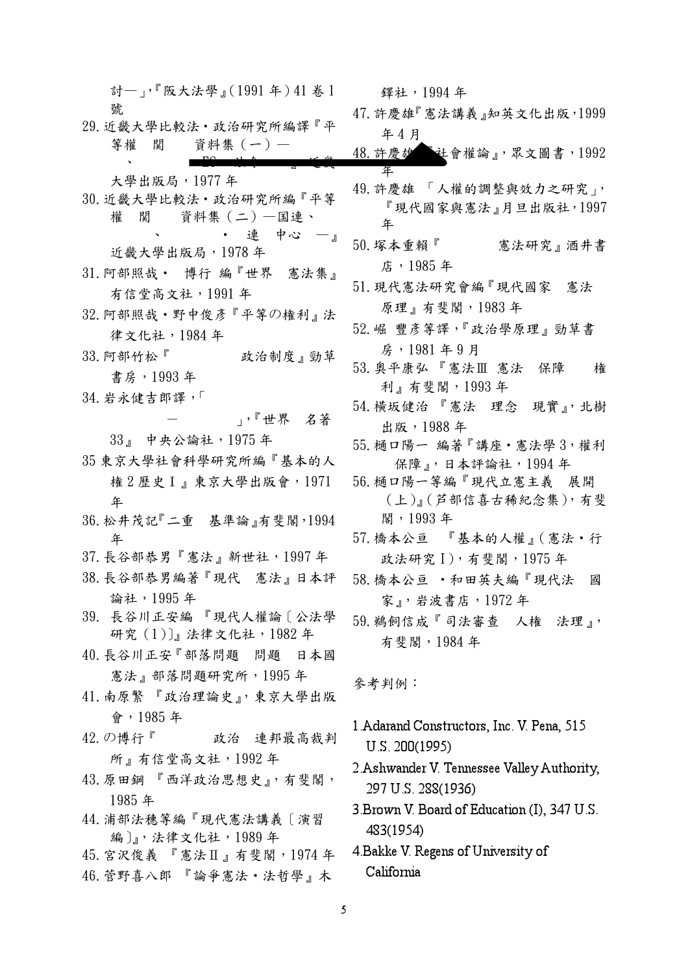討一」,『阪大法學』(1991年)41卷1 號 29. 近畿大學比較法·政治研究所編譯『平 等權 関 資料集(一)— 大學出版局,1977年 30. 近畿大學比較法·政治研究所編『平等 權 関 資料集 (二) 一国連、  $\bullet$ 連 中心 一』 近畿大學出版局,1978年 31. 阿部照哉 · 博行 編『世界 憲法集』 有信堂高文社,1991年 32. 阿部照哉·野中俊彦『平等の権利』法 律文化社,1984年 33. 阿部竹松『 政治制度』勁草 書房,1993年 34. 岩永健吉郎譯,「 ,,『世界 名著 33』 中央公論社, 1975年 35 東京大學社會科學研究所編『基本的人 権2歷史 I』東京大學出版會, 1971 年 36. 松井茂記『二重 基準論』有斐閣, 1994 年 37. 長谷部恭男『憲法』新世社,1997年 38. 長谷部恭男編著『現代 憲法』日本評 論社, 1995年 39. 長谷川正安編 『現代人權論〔公法學 研究 (1)〕』法律文化社, 1982年 40. 長谷川正安『部落問題 問題 日本國 憲法』部落問題研究所,1995年 41. 南原繁 『政治理論史』, 東京大學出版 會,1985年 42. の博行『 政治 連邦最高裁判 所』有信堂高文社,1992年 43. 原田鋼 『西洋政治思想史』, 有斐閣, 1985年 44. 浦部法穗等編『現代憲法講義〔演習 編]」,法律文化社,1989年 45. 宮沢俊義 『憲法Ⅱ』有斐閣, 1974年 46. 管野喜八郎 『論爭憲法·法哲學』木

鐸社, 1994年

- 47. 許慶雄『憲法講義』知英文化出版,1999 年4月
- 48. 許慶雄 社會權論』,眾文圖書,1992 年
- 49. 許慶雄「人權的調整與效力之研究」, 『現代國家與憲法』月旦出版社,1997 年
- 50. 塚本重賴『 憲法研究』酒井書 店, 1985年
- 51. 現代憲法研究會編『現代國家 憲法 原理』有斐閣,1983年
- 52. 崛 豐彥等譯, 『政治學原理』勁草書 **房,1981年9月**
- 53. 奥平康弘 『憲法Ⅲ 憲法 保障 権 利』有斐閣,1993年
- 54. 横坂健治 『憲法 理念 現實』, 北樹 出版,1988年
- 55. 樋口陽一 編著『講座·憲法學3,權利 保障」,日本評論社,1994年
- 56. 樋口陽一等編『現代立憲主義 展開 (上)』(芦部信喜古稀紀念集),有斐 閣,1993年
- 57. 橋本公亘 『基本的人權』(憲法·行 政法研究 I), 有斐閣, 1975年
- 58. 橋本公亘 · 和田英夫編『現代法 國 家』,岩波書店,1972年
- 59. 鵜飼信成『司法審查 人権 法理』, 有斐閣,1984年

參考判例:

- 1. Adarand Constructors, Inc. V. Pena, 515 U.S. 200(1995)
- 2. Ashwander V. Tennessee Valley Authority. 297 U.S. 288(1936)
- 3. Brown V. Board of Education (I), 347 U.S. 483(1954)
- 4. Bakke V. Regens of University of California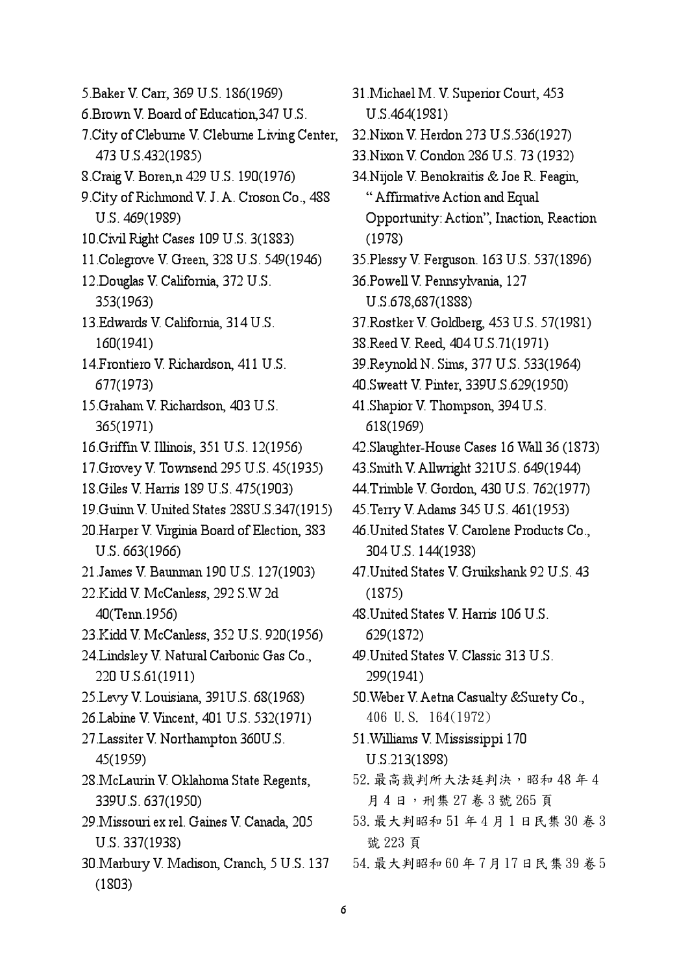5.Baker V. Carr, 369 U.S. 186(1969) 6.Brown V. Board of Education,347 U.S. 7.City of Cleburne V. Cleburne Living Center, 473 U.S.432(1985) 8.Craig V. Boren,n 429 U.S. 190(1976) 9.City of Richmond V. J. A. Croson Co., 488 U.S. 469(1989) 10.Civil Right Cases 109 U.S. 3(1883) 11.Colegrove V. Green, 328 U.S. 549(1946) 12.Douglas V. California, 372 U.S. 353(1963) 13.Edwards V. California, 314 U.S. 160(1941) 14.Frontiero V. Richardson, 411 U.S. 677(1973) 15.Graham V. Richardson, 403 U.S. 365(1971) 16.Griffin V. Illinois, 351 U.S. 12(1956) 17.Grovey V. Townsend 295 U.S. 45(1935) 18.Giles V. Harris 189 U.S. 475(1903) 19.Guinn V. United States 288U.S.347(1915) 20.Harper V. Virginia Board of Election, 383 U.S. 663(1966) 21.James V. Baunman 190 U.S. 127(1903) 22.Kidd V. McCanless, 292 S.W 2d 40(Tenn.1956) 23.Kidd V. McCanless, 352 U.S. 920(1956) 24.Lindsley V. Natural Carbonic Gas Co., 220 U.S.61(1911) 25.Levy V. Louisiana, 391U.S. 68(1968) 26.Labine V. Vincent, 401 U.S. 532(1971) 27.Lassiter V. Northampton 360U.S. 45(1959) 28.McLaurin V. Oklahoma State Regents, 339U.S. 637(1950) 29.Missouri ex rel. Gaines V. Canada, 205 U.S. 337(1938) 30.Marbury V. Madison, Cranch, 5 U.S. 137 (1803)

31.Michael M. V. Superior Court, 453 U.S.464(1981)

32.Nixon V. Herdon 273 U.S.536(1927)

33.Nixon V. Condon 286 U.S. 73 (1932)

- 34.Nijole V. Benokraitis & Joe R. Feagin, " Affirmative Action and Equal Opportunity: Action", Inaction, Reaction (1978)
- 35.Plessy V. Ferguson. 163 U.S. 537(1896)
- 36.Powell V. Pennsylvania, 127 U.S.678,687(1888)
- 37.Rostker V. Goldberg, 453 U.S. 57(1981)
- 38.Reed V. Reed, 404 U.S.71(1971)
- 39.Reynold N. Sims, 377 U.S. 533(1964)
- 40.Sweatt V. Pinter, 339U.S.629(1950)

41.Shapior V. Thompson, 394 U.S. 618(1969)

- 42.Slaughter-House Cases 16 Wall 36 (1873)
- 43.Smith V. Allwright 321U.S. 649(1944)
- 44.Trimble V. Gordon, 430 U.S. 762(1977)
- 45.Terry V. Adams 345 U.S. 461(1953)
- 46.United States V. Carolene Products Co., 304 U.S. 144(1938)
- 47.United States V. Gruikshank 92 U.S. 43 (1875)
- 48.United States V. Harris 106 U.S. 629(1872)
- 49.United States V. Classic 313 U.S. 299(1941)
- 50.Weber V. Aetna Casualty &Surety Co., 406 U.S.  $164(1972)$
- 51.Williams V. Mississippi 170 U.S.213(1898)
- $52.$  最高裁判所大法廷判決,昭和48年4 月4日,刑集 27卷3號 265頁
- $53.$  最大判昭和  $51 4 4 1 1 1 5 5$ 集  $30 1 3$ 號 223頁
- 54. 最大判昭和60年7月17日民集39卷5